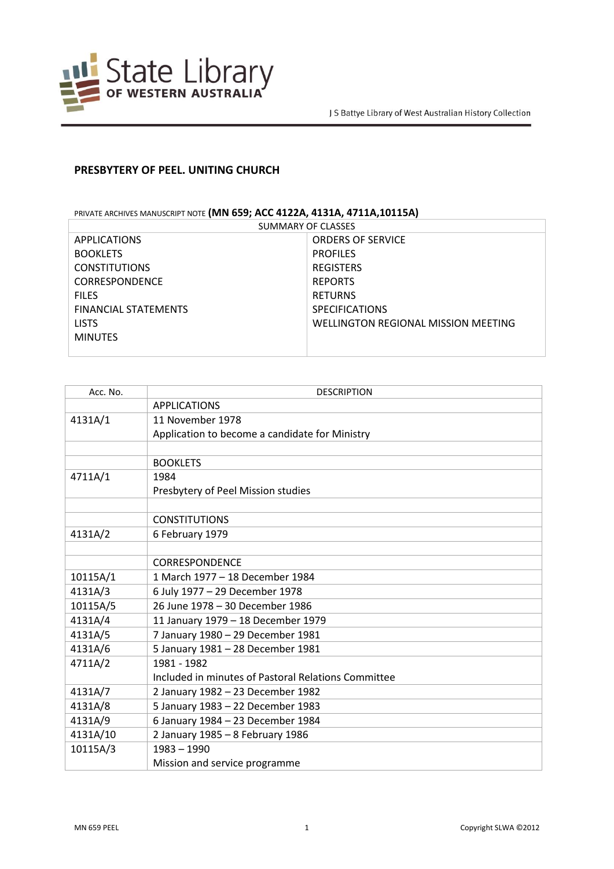

## **PRESBYTERY OF PEEL. UNITING CHURCH**

## PRIVATE ARCHIVES MANUSCRIPT NOTE **(MN 659; ACC 4122A, 4131A, 4711A,10115A)**

| SUMMARY OF CLASSES          |                                     |
|-----------------------------|-------------------------------------|
| <b>APPLICATIONS</b>         | <b>ORDERS OF SERVICE</b>            |
| <b>BOOKLETS</b>             | <b>PROFILES</b>                     |
| <b>CONSTITUTIONS</b>        | <b>REGISTERS</b>                    |
| <b>CORRESPONDENCE</b>       | <b>REPORTS</b>                      |
| <b>FILES</b>                | <b>RETURNS</b>                      |
| <b>FINANCIAL STATEMENTS</b> | <b>SPECIFICATIONS</b>               |
| <b>LISTS</b>                | WELLINGTON REGIONAL MISSION MEETING |
| <b>MINUTES</b>              |                                     |
|                             |                                     |

| Acc. No. | <b>DESCRIPTION</b>                                  |
|----------|-----------------------------------------------------|
|          | <b>APPLICATIONS</b>                                 |
| 4131A/1  | 11 November 1978                                    |
|          | Application to become a candidate for Ministry      |
|          |                                                     |
|          | <b>BOOKLETS</b>                                     |
| 4711A/1  | 1984                                                |
|          | Presbytery of Peel Mission studies                  |
|          |                                                     |
|          | <b>CONSTITUTIONS</b>                                |
| 4131A/2  | 6 February 1979                                     |
|          |                                                     |
|          | <b>CORRESPONDENCE</b>                               |
| 10115A/1 | 1 March 1977 - 18 December 1984                     |
| 4131A/3  | 6 July 1977 - 29 December 1978                      |
| 10115A/5 | 26 June 1978 - 30 December 1986                     |
| 4131A/4  | 11 January 1979 - 18 December 1979                  |
| 4131A/5  | 7 January 1980 - 29 December 1981                   |
| 4131A/6  | 5 January 1981 - 28 December 1981                   |
| 4711A/2  | 1981 - 1982                                         |
|          | Included in minutes of Pastoral Relations Committee |
| 4131A/7  | 2 January 1982 - 23 December 1982                   |
| 4131A/8  | 5 January 1983 - 22 December 1983                   |
| 4131A/9  | 6 January 1984 - 23 December 1984                   |
| 4131A/10 | 2 January 1985 - 8 February 1986                    |
| 10115A/3 | $1983 - 1990$                                       |
|          | Mission and service programme                       |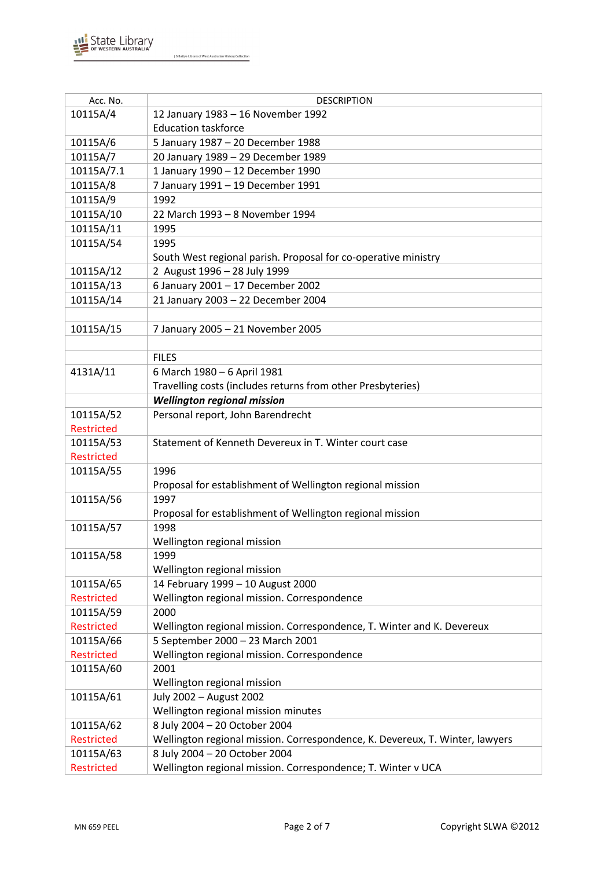

| Acc. No.          | <b>DESCRIPTION</b>                                                           |
|-------------------|------------------------------------------------------------------------------|
| 10115A/4          | 12 January 1983 - 16 November 1992                                           |
|                   | <b>Education taskforce</b>                                                   |
| 10115A/6          | 5 January 1987 - 20 December 1988                                            |
| 10115A/7          | 20 January 1989 - 29 December 1989                                           |
| 10115A/7.1        | 1 January 1990 - 12 December 1990                                            |
| 10115A/8          | 7 January 1991 - 19 December 1991                                            |
| 10115A/9          | 1992                                                                         |
| 10115A/10         | 22 March 1993 - 8 November 1994                                              |
| 10115A/11         | 1995                                                                         |
| 10115A/54         | 1995                                                                         |
|                   | South West regional parish. Proposal for co-operative ministry               |
| 10115A/12         | 2 August 1996 - 28 July 1999                                                 |
| 10115A/13         | 6 January 2001 - 17 December 2002                                            |
| 10115A/14         | 21 January 2003 - 22 December 2004                                           |
|                   |                                                                              |
| 10115A/15         | 7 January 2005 - 21 November 2005                                            |
|                   |                                                                              |
|                   | <b>FILES</b>                                                                 |
| 4131A/11          | 6 March 1980 - 6 April 1981                                                  |
|                   | Travelling costs (includes returns from other Presbyteries)                  |
|                   | <b>Wellington regional mission</b>                                           |
| 10115A/52         | Personal report, John Barendrecht                                            |
| <b>Restricted</b> |                                                                              |
| 10115A/53         | Statement of Kenneth Devereux in T. Winter court case                        |
| <b>Restricted</b> |                                                                              |
| 10115A/55         | 1996                                                                         |
|                   | Proposal for establishment of Wellington regional mission                    |
| 10115A/56         | 1997                                                                         |
|                   | Proposal for establishment of Wellington regional mission                    |
| 10115A/57         | 1998                                                                         |
|                   | Wellington regional mission                                                  |
| 10115A/58         | 1999                                                                         |
|                   | Wellington regional mission                                                  |
| 10115A/65         | 14 February 1999 - 10 August 2000                                            |
| <b>Restricted</b> | Wellington regional mission. Correspondence                                  |
| 10115A/59         | 2000                                                                         |
| <b>Restricted</b> | Wellington regional mission. Correspondence, T. Winter and K. Devereux       |
| 10115A/66         | 5 September 2000 - 23 March 2001                                             |
| Restricted        | Wellington regional mission. Correspondence                                  |
| 10115A/60         | 2001                                                                         |
|                   | Wellington regional mission                                                  |
| 10115A/61         | July 2002 - August 2002                                                      |
|                   | Wellington regional mission minutes                                          |
| 10115A/62         | 8 July 2004 - 20 October 2004                                                |
| Restricted        | Wellington regional mission. Correspondence, K. Devereux, T. Winter, lawyers |
| 10115A/63         | 8 July 2004 - 20 October 2004                                                |
| <b>Restricted</b> | Wellington regional mission. Correspondence; T. Winter v UCA                 |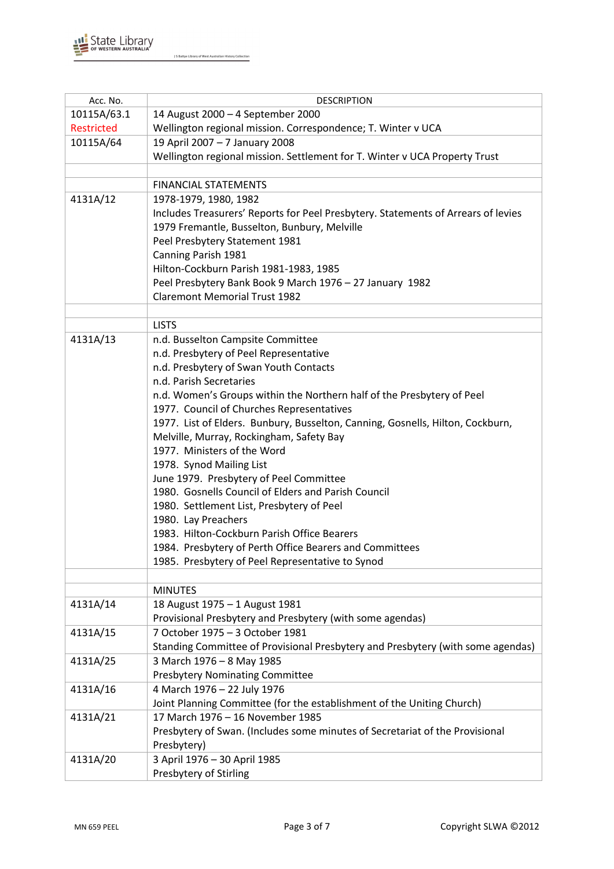| Acc. No.    | <b>DESCRIPTION</b>                                                                |
|-------------|-----------------------------------------------------------------------------------|
| 10115A/63.1 | 14 August 2000 - 4 September 2000                                                 |
| Restricted  | Wellington regional mission. Correspondence; T. Winter v UCA                      |
| 10115A/64   | 19 April 2007 - 7 January 2008                                                    |
|             | Wellington regional mission. Settlement for T. Winter v UCA Property Trust        |
|             |                                                                                   |
|             | <b>FINANCIAL STATEMENTS</b>                                                       |
| 4131A/12    | 1978-1979, 1980, 1982                                                             |
|             | Includes Treasurers' Reports for Peel Presbytery. Statements of Arrears of levies |
|             | 1979 Fremantle, Busselton, Bunbury, Melville                                      |
|             | Peel Presbytery Statement 1981                                                    |
|             | Canning Parish 1981                                                               |
|             | Hilton-Cockburn Parish 1981-1983, 1985                                            |
|             | Peel Presbytery Bank Book 9 March 1976 - 27 January 1982                          |
|             | <b>Claremont Memorial Trust 1982</b>                                              |
|             |                                                                                   |
|             | <b>LISTS</b>                                                                      |
| 4131A/13    | n.d. Busselton Campsite Committee                                                 |
|             | n.d. Presbytery of Peel Representative                                            |
|             | n.d. Presbytery of Swan Youth Contacts<br>n.d. Parish Secretaries                 |
|             | n.d. Women's Groups within the Northern half of the Presbytery of Peel            |
|             | 1977. Council of Churches Representatives                                         |
|             | 1977. List of Elders. Bunbury, Busselton, Canning, Gosnells, Hilton, Cockburn,    |
|             | Melville, Murray, Rockingham, Safety Bay                                          |
|             | 1977. Ministers of the Word                                                       |
|             | 1978. Synod Mailing List                                                          |
|             | June 1979. Presbytery of Peel Committee                                           |
|             | 1980. Gosnells Council of Elders and Parish Council                               |
|             | 1980. Settlement List, Presbytery of Peel                                         |
|             | 1980. Lay Preachers                                                               |
|             | 1983. Hilton-Cockburn Parish Office Bearers                                       |
|             | 1984. Presbytery of Perth Office Bearers and Committees                           |
|             | 1985. Presbytery of Peel Representative to Synod                                  |
|             |                                                                                   |
|             | <b>MINUTES</b>                                                                    |
| 4131A/14    | 18 August 1975 - 1 August 1981                                                    |
|             | Provisional Presbytery and Presbytery (with some agendas)                         |
| 4131A/15    | 7 October 1975 - 3 October 1981                                                   |
|             | Standing Committee of Provisional Presbytery and Presbytery (with some agendas)   |
| 4131A/25    | 3 March 1976 - 8 May 1985<br><b>Presbytery Nominating Committee</b>               |
| 4131A/16    | 4 March 1976 - 22 July 1976                                                       |
|             | Joint Planning Committee (for the establishment of the Uniting Church)            |
| 4131A/21    | 17 March 1976 - 16 November 1985                                                  |
|             | Presbytery of Swan. (Includes some minutes of Secretariat of the Provisional      |
|             | Presbytery)                                                                       |
| 4131A/20    | 3 April 1976 - 30 April 1985                                                      |
|             | Presbytery of Stirling                                                            |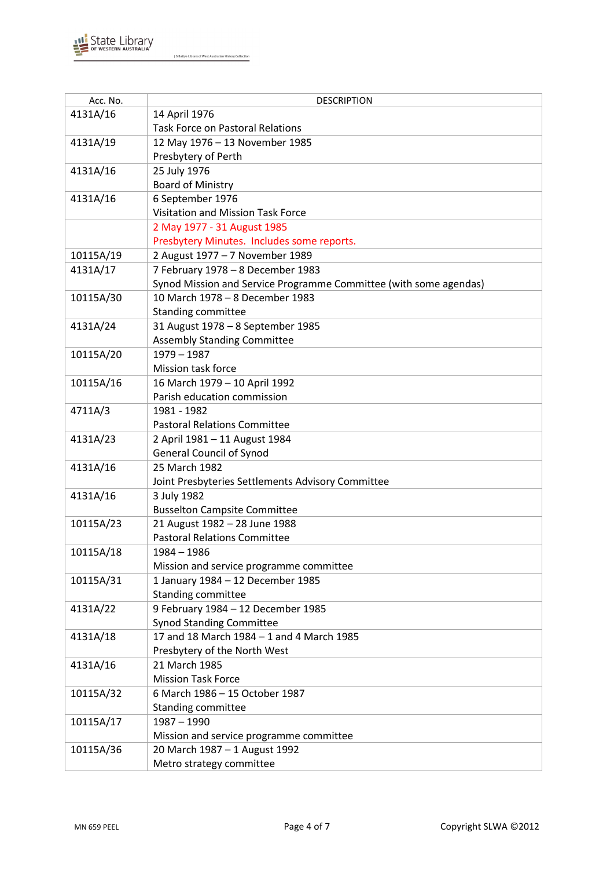

| Acc. No.  | <b>DESCRIPTION</b>                                                |
|-----------|-------------------------------------------------------------------|
| 4131A/16  | 14 April 1976                                                     |
|           | <b>Task Force on Pastoral Relations</b>                           |
| 4131A/19  | 12 May 1976 - 13 November 1985                                    |
|           | Presbytery of Perth                                               |
| 4131A/16  | 25 July 1976                                                      |
|           | <b>Board of Ministry</b>                                          |
| 4131A/16  | 6 September 1976                                                  |
|           | Visitation and Mission Task Force                                 |
|           | 2 May 1977 - 31 August 1985                                       |
|           | Presbytery Minutes. Includes some reports.                        |
| 10115A/19 | 2 August 1977 - 7 November 1989                                   |
| 4131A/17  | 7 February 1978 - 8 December 1983                                 |
|           | Synod Mission and Service Programme Committee (with some agendas) |
| 10115A/30 | 10 March 1978 - 8 December 1983                                   |
|           | <b>Standing committee</b>                                         |
| 4131A/24  | 31 August 1978 - 8 September 1985                                 |
|           | <b>Assembly Standing Committee</b>                                |
| 10115A/20 | $1979 - 1987$                                                     |
|           | Mission task force                                                |
| 10115A/16 | 16 March 1979 - 10 April 1992                                     |
|           | Parish education commission                                       |
| 4711A/3   | 1981 - 1982                                                       |
|           | <b>Pastoral Relations Committee</b>                               |
| 4131A/23  | 2 April 1981 - 11 August 1984                                     |
|           | <b>General Council of Synod</b>                                   |
| 4131A/16  | 25 March 1982                                                     |
|           | Joint Presbyteries Settlements Advisory Committee                 |
| 4131A/16  | 3 July 1982                                                       |
|           | <b>Busselton Campsite Committee</b>                               |
| 10115A/23 | 21 August 1982 - 28 June 1988                                     |
|           | <b>Pastoral Relations Committee</b>                               |
| 10115A/18 | 1984 – 1986                                                       |
|           | Mission and service programme committee                           |
| 10115A/31 | 1 January 1984 - 12 December 1985                                 |
|           | Standing committee                                                |
| 4131A/22  | 9 February 1984 - 12 December 1985                                |
|           | <b>Synod Standing Committee</b>                                   |
| 4131A/18  | 17 and 18 March 1984 - 1 and 4 March 1985                         |
|           | Presbytery of the North West                                      |
| 4131A/16  | 21 March 1985                                                     |
|           | <b>Mission Task Force</b>                                         |
| 10115A/32 | 6 March 1986 - 15 October 1987                                    |
|           | Standing committee                                                |
| 10115A/17 | $1987 - 1990$                                                     |
|           | Mission and service programme committee                           |
| 10115A/36 | 20 March 1987 - 1 August 1992                                     |
|           | Metro strategy committee                                          |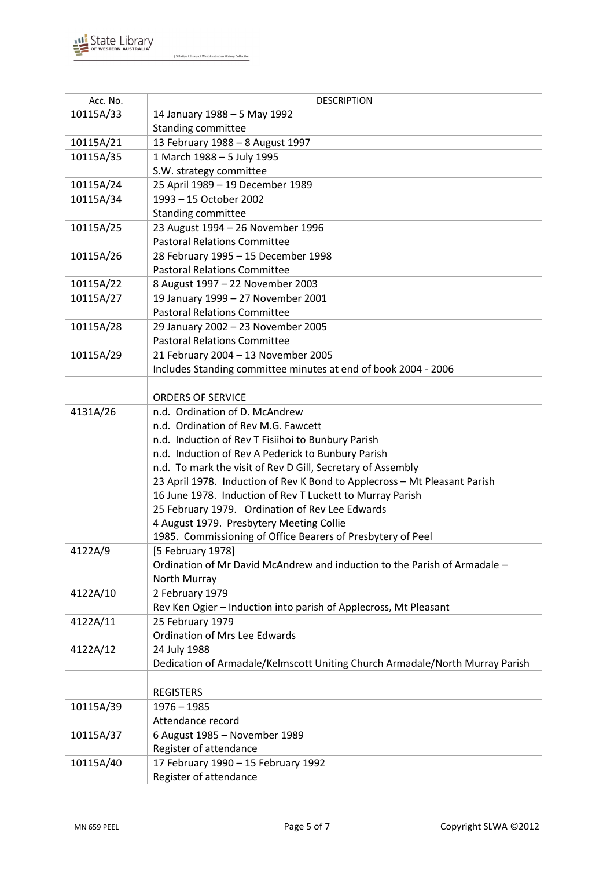

| Acc. No.  | <b>DESCRIPTION</b>                                                           |
|-----------|------------------------------------------------------------------------------|
| 10115A/33 | 14 January 1988 - 5 May 1992                                                 |
|           | Standing committee                                                           |
| 10115A/21 | 13 February 1988 - 8 August 1997                                             |
| 10115A/35 | 1 March 1988 - 5 July 1995                                                   |
|           | S.W. strategy committee                                                      |
| 10115A/24 | 25 April 1989 - 19 December 1989                                             |
| 10115A/34 | 1993 - 15 October 2002                                                       |
|           | <b>Standing committee</b>                                                    |
| 10115A/25 | 23 August 1994 - 26 November 1996                                            |
|           | <b>Pastoral Relations Committee</b>                                          |
| 10115A/26 | 28 February 1995 - 15 December 1998                                          |
|           | <b>Pastoral Relations Committee</b>                                          |
| 10115A/22 | 8 August 1997 - 22 November 2003                                             |
| 10115A/27 | 19 January 1999 - 27 November 2001                                           |
|           | <b>Pastoral Relations Committee</b>                                          |
| 10115A/28 | 29 January 2002 - 23 November 2005                                           |
|           | <b>Pastoral Relations Committee</b>                                          |
| 10115A/29 | 21 February 2004 - 13 November 2005                                          |
|           | Includes Standing committee minutes at end of book 2004 - 2006               |
|           |                                                                              |
|           | <b>ORDERS OF SERVICE</b>                                                     |
| 4131A/26  | n.d. Ordination of D. McAndrew                                               |
|           | n.d. Ordination of Rev M.G. Fawcett                                          |
|           | n.d. Induction of Rev T Fisiihoi to Bunbury Parish                           |
|           | n.d. Induction of Rev A Pederick to Bunbury Parish                           |
|           | n.d. To mark the visit of Rev D Gill, Secretary of Assembly                  |
|           | 23 April 1978. Induction of Rev K Bond to Applecross - Mt Pleasant Parish    |
|           | 16 June 1978. Induction of Rev T Luckett to Murray Parish                    |
|           | 25 February 1979. Ordination of Rev Lee Edwards                              |
|           | 4 August 1979. Presbytery Meeting Collie                                     |
|           | 1985. Commissioning of Office Bearers of Presbytery of Peel                  |
| 4122A/9   | [5 February 1978]                                                            |
|           | Ordination of Mr David McAndrew and induction to the Parish of Armadale -    |
| 4122A/10  | North Murray<br>2 February 1979                                              |
|           | Rev Ken Ogier - Induction into parish of Applecross, Mt Pleasant             |
| 4122A/11  | 25 February 1979                                                             |
|           | Ordination of Mrs Lee Edwards                                                |
| 4122A/12  | 24 July 1988                                                                 |
|           | Dedication of Armadale/Kelmscott Uniting Church Armadale/North Murray Parish |
|           |                                                                              |
|           | <b>REGISTERS</b>                                                             |
| 10115A/39 | $1976 - 1985$                                                                |
|           | Attendance record                                                            |
| 10115A/37 | 6 August 1985 - November 1989                                                |
|           | Register of attendance                                                       |
| 10115A/40 | 17 February 1990 - 15 February 1992                                          |
|           | Register of attendance                                                       |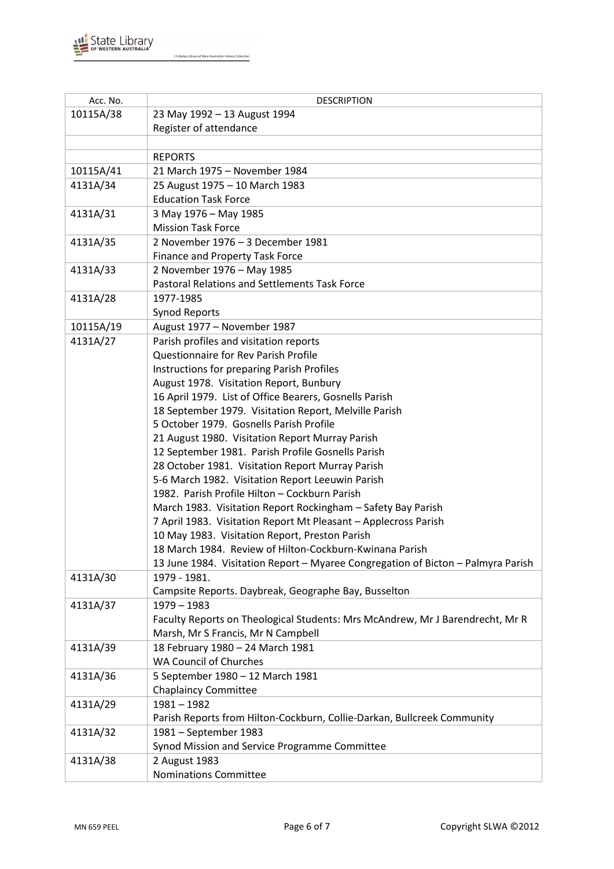

| Acc. No.  | <b>DESCRIPTION</b>                                                                                |
|-----------|---------------------------------------------------------------------------------------------------|
| 10115A/38 | 23 May 1992 - 13 August 1994                                                                      |
|           | Register of attendance                                                                            |
|           |                                                                                                   |
|           | <b>REPORTS</b>                                                                                    |
| 10115A/41 | 21 March 1975 - November 1984                                                                     |
| 4131A/34  | 25 August 1975 - 10 March 1983                                                                    |
|           | <b>Education Task Force</b>                                                                       |
| 4131A/31  | 3 May 1976 - May 1985                                                                             |
|           | <b>Mission Task Force</b>                                                                         |
| 4131A/35  | 2 November 1976 - 3 December 1981                                                                 |
|           | <b>Finance and Property Task Force</b>                                                            |
| 4131A/33  | 2 November 1976 - May 1985                                                                        |
|           | Pastoral Relations and Settlements Task Force                                                     |
| 4131A/28  | 1977-1985                                                                                         |
|           | <b>Synod Reports</b>                                                                              |
| 10115A/19 | August 1977 - November 1987                                                                       |
| 4131A/27  | Parish profiles and visitation reports                                                            |
|           | Questionnaire for Rev Parish Profile                                                              |
|           | Instructions for preparing Parish Profiles                                                        |
|           | August 1978. Visitation Report, Bunbury                                                           |
|           | 16 April 1979. List of Office Bearers, Gosnells Parish                                            |
|           | 18 September 1979. Visitation Report, Melville Parish                                             |
|           | 5 October 1979. Gosnells Parish Profile                                                           |
|           | 21 August 1980. Visitation Report Murray Parish                                                   |
|           | 12 September 1981. Parish Profile Gosnells Parish                                                 |
|           | 28 October 1981. Visitation Report Murray Parish                                                  |
|           | 5-6 March 1982. Visitation Report Leeuwin Parish<br>1982. Parish Profile Hilton - Cockburn Parish |
|           | March 1983. Visitation Report Rockingham - Safety Bay Parish                                      |
|           | 7 April 1983. Visitation Report Mt Pleasant - Applecross Parish                                   |
|           | 10 May 1983. Visitation Report, Preston Parish                                                    |
|           | 18 March 1984. Review of Hilton-Cockburn-Kwinana Parish                                           |
|           | 13 June 1984. Visitation Report - Myaree Congregation of Bicton - Palmyra Parish                  |
| 4131A/30  | 1979 - 1981.                                                                                      |
|           | Campsite Reports. Daybreak, Geographe Bay, Busselton                                              |
| 4131A/37  | 1979 - 1983                                                                                       |
|           | Faculty Reports on Theological Students: Mrs McAndrew, Mr J Barendrecht, Mr R                     |
|           | Marsh, Mr S Francis, Mr N Campbell                                                                |
| 4131A/39  | 18 February 1980 - 24 March 1981                                                                  |
|           | <b>WA Council of Churches</b>                                                                     |
| 4131A/36  | 5 September 1980 - 12 March 1981                                                                  |
|           | <b>Chaplaincy Committee</b>                                                                       |
| 4131A/29  | $1981 - 1982$                                                                                     |
|           | Parish Reports from Hilton-Cockburn, Collie-Darkan, Bullcreek Community                           |
| 4131A/32  | 1981 - September 1983                                                                             |
|           | Synod Mission and Service Programme Committee                                                     |
| 4131A/38  | 2 August 1983                                                                                     |
|           | <b>Nominations Committee</b>                                                                      |